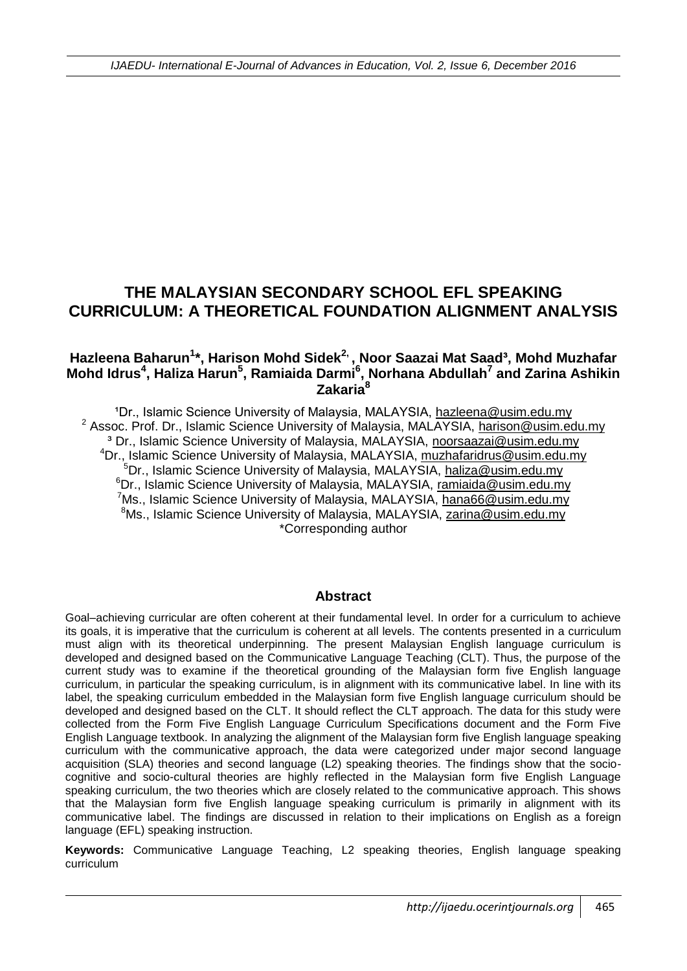# **THE MALAYSIAN SECONDARY SCHOOL EFL SPEAKING CURRICULUM: A THEORETICAL FOUNDATION ALIGNMENT ANALYSIS**

### **Hazleena Baharun<sup>1</sup> \*, Harison Mohd Sidek2, , Noor Saazai Mat Saad³, Mohd Muzhafar Mohd Idrus<sup>4</sup> , Haliza Harun<sup>5</sup> , Ramiaida Darmi<sup>6</sup> , Norhana Abdullah<sup>7</sup> and Zarina Ashikin Zakaria<sup>8</sup>**

<sup>1</sup>Dr., Islamic Science University of Malaysia, MALAYSIA, [hazleena@usim.edu.my](mailto:hazleena@usim.edu.my) <sup>2</sup> Assoc. Prof. Dr., Islamic Science University of Malaysia, MALAYSIA, [harison@usim.edu.my](mailto:harison@usim.edu.my) ³ Dr., Islamic Science University of Malaysia, MALAYSIA, [noorsaazai@usim.edu.my](mailto:noorsaazai@usim.edu.my) <sup>4</sup>Dr., Islamic Science University of Malaysia, MALAYSIA, [muzhafaridrus@usim.edu.my](mailto:muzhafaridrus@usim.edu.my)  $5$ Dr., Islamic Science University of Malaysia, MALAYSIA, [haliza@usim.edu.my](mailto:haliza@usim.edu.my) <sup>6</sup>Dr., Islamic Science University of Malaysia, MALAYSIA, [ramiaida@usim.edu.my](mailto:ramiaida@usim.edu.my) <sup>7</sup>Ms., Islamic Science University of Malaysia, MALAYSIA, [hana66@usim.edu.my](mailto:hana66@usim.edu.my) <sup>8</sup>Ms., Islamic Science University of Malaysia, MALAYSIA, [zarina@usim.edu.my](mailto:zarina@usim.edu.my) \*Corresponding author

#### **Abstract**

Goal–achieving curricular are often coherent at their fundamental level. In order for a curriculum to achieve its goals, it is imperative that the curriculum is coherent at all levels. The contents presented in a curriculum must align with its theoretical underpinning. The present Malaysian English language curriculum is developed and designed based on the Communicative Language Teaching (CLT). Thus, the purpose of the current study was to examine if the theoretical grounding of the Malaysian form five English language curriculum, in particular the speaking curriculum, is in alignment with its communicative label. In line with its label, the speaking curriculum embedded in the Malaysian form five English language curriculum should be developed and designed based on the CLT. It should reflect the CLT approach. The data for this study were collected from the Form Five English Language Curriculum Specifications document and the Form Five English Language textbook. In analyzing the alignment of the Malaysian form five English language speaking curriculum with the communicative approach, the data were categorized under major second language acquisition (SLA) theories and second language (L2) speaking theories. The findings show that the sociocognitive and socio-cultural theories are highly reflected in the Malaysian form five English Language speaking curriculum, the two theories which are closely related to the communicative approach. This shows that the Malaysian form five English language speaking curriculum is primarily in alignment with its communicative label. The findings are discussed in relation to their implications on English as a foreign language (EFL) speaking instruction.

**Keywords:** Communicative Language Teaching, L2 speaking theories, English language speaking curriculum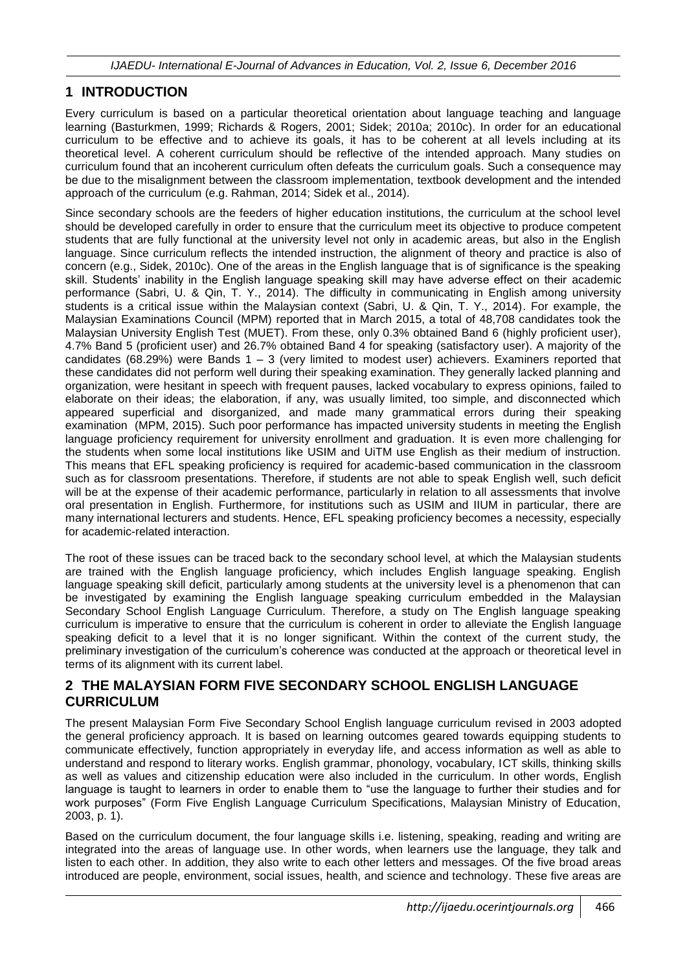## **1 INTRODUCTION**

Every curriculum is based on a particular theoretical orientation about language teaching and language learning (Basturkmen, 1999; Richards & Rogers, 2001; Sidek; 2010a; 2010c). In order for an educational curriculum to be effective and to achieve its goals, it has to be coherent at all levels including at its theoretical level. A coherent curriculum should be reflective of the intended approach. Many studies on curriculum found that an incoherent curriculum often defeats the curriculum goals. Such a consequence may be due to the misalignment between the classroom implementation, textbook development and the intended approach of the curriculum (e.g. Rahman, 2014; Sidek et al., 2014).

Since secondary schools are the feeders of higher education institutions, the curriculum at the school level should be developed carefully in order to ensure that the curriculum meet its objective to produce competent students that are fully functional at the university level not only in academic areas, but also in the English language. Since curriculum reflects the intended instruction, the alignment of theory and practice is also of concern (e.g., Sidek, 2010c). One of the areas in the English language that is of significance is the speaking skill. Students' inability in the English language speaking skill may have adverse effect on their academic performance (Sabri, U. & Qin, T. Y., 2014). The difficulty in communicating in English among university students is a critical issue within the Malaysian context (Sabri, U. & Qin, T. Y., 2014). For example, the Malaysian Examinations Council (MPM) reported that in March 2015, a total of 48,708 candidates took the Malaysian University English Test (MUET). From these, only 0.3% obtained Band 6 (highly proficient user), 4.7% Band 5 (proficient user) and 26.7% obtained Band 4 for speaking (satisfactory user). A majority of the candidates (68.29%) were Bands  $1 - 3$  (very limited to modest user) achievers. Examiners reported that these candidates did not perform well during their speaking examination. They generally lacked planning and organization, were hesitant in speech with frequent pauses, lacked vocabulary to express opinions, failed to elaborate on their ideas; the elaboration, if any, was usually limited, too simple, and disconnected which appeared superficial and disorganized, and made many grammatical errors during their speaking examination (MPM, 2015). Such poor performance has impacted university students in meeting the English language proficiency requirement for university enrollment and graduation. It is even more challenging for the students when some local institutions like USIM and UiTM use English as their medium of instruction. This means that EFL speaking proficiency is required for academic-based communication in the classroom such as for classroom presentations. Therefore, if students are not able to speak English well, such deficit will be at the expense of their academic performance, particularly in relation to all assessments that involve oral presentation in English. Furthermore, for institutions such as USIM and IIUM in particular, there are many international lecturers and students. Hence, EFL speaking proficiency becomes a necessity, especially for academic-related interaction.

The root of these issues can be traced back to the secondary school level, at which the Malaysian students are trained with the English language proficiency, which includes English language speaking. English language speaking skill deficit, particularly among students at the university level is a phenomenon that can be investigated by examining the English language speaking curriculum embedded in the Malaysian Secondary School English Language Curriculum. Therefore, a study on The English language speaking curriculum is imperative to ensure that the curriculum is coherent in order to alleviate the English language speaking deficit to a level that it is no longer significant. Within the context of the current study, the preliminary investigation of the curriculum's coherence was conducted at the approach or theoretical level in terms of its alignment with its current label.

## **2 THE MALAYSIAN FORM FIVE SECONDARY SCHOOL ENGLISH LANGUAGE CURRICULUM**

The present Malaysian Form Five Secondary School English language curriculum revised in 2003 adopted the general proficiency approach. It is based on learning outcomes geared towards equipping students to communicate effectively, function appropriately in everyday life, and access information as well as able to understand and respond to literary works. English grammar, phonology, vocabulary, ICT skills, thinking skills as well as values and citizenship education were also included in the curriculum. In other words, English language is taught to learners in order to enable them to "use the language to further their studies and for work purposes" (Form Five English Language Curriculum Specifications, Malaysian Ministry of Education, 2003, p. 1).

Based on the curriculum document, the four language skills i.e. listening, speaking, reading and writing are integrated into the areas of language use. In other words, when learners use the language, they talk and listen to each other. In addition, they also write to each other letters and messages. Of the five broad areas introduced are people, environment, social issues, health, and science and technology. These five areas are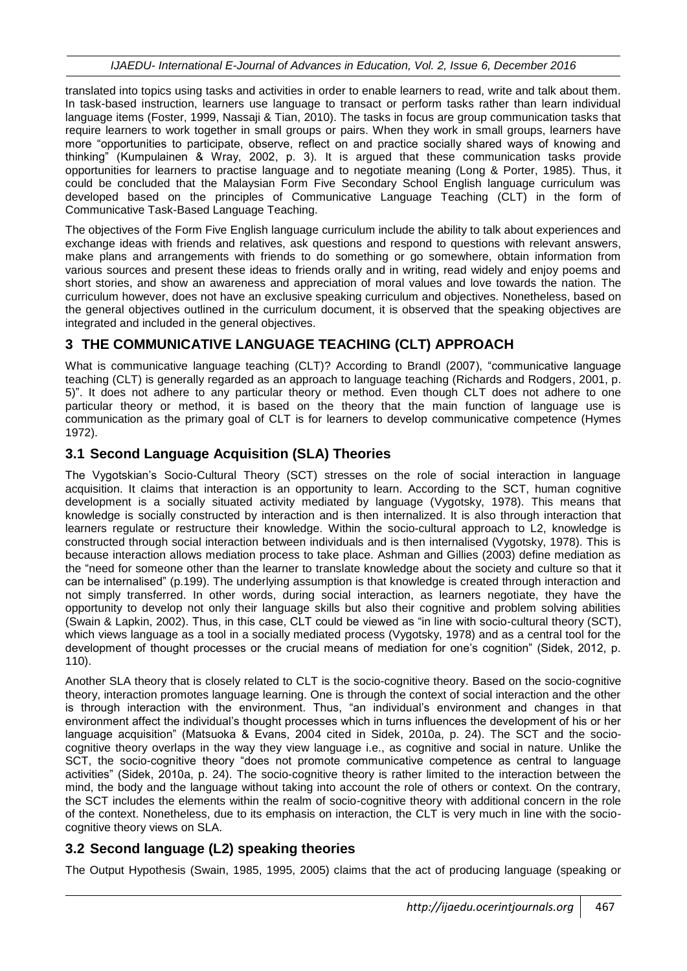translated into topics using tasks and activities in order to enable learners to read, write and talk about them. In task-based instruction, learners use language to transact or perform tasks rather than learn individual language items (Foster, 1999, Nassaji & Tian, 2010). The tasks in focus are group communication tasks that require learners to work together in small groups or pairs. When they work in small groups, learners have more "opportunities to participate, observe, reflect on and practice socially shared ways of knowing and thinking" (Kumpulainen & Wray, 2002, p. 3). It is argued that these communication tasks provide opportunities for learners to practise language and to negotiate meaning (Long & Porter, 1985). Thus, it could be concluded that the Malaysian Form Five Secondary School English language curriculum was developed based on the principles of Communicative Language Teaching (CLT) in the form of Communicative Task-Based Language Teaching.

The objectives of the Form Five English language curriculum include the ability to talk about experiences and exchange ideas with friends and relatives, ask questions and respond to questions with relevant answers, make plans and arrangements with friends to do something or go somewhere, obtain information from various sources and present these ideas to friends orally and in writing, read widely and enjoy poems and short stories, and show an awareness and appreciation of moral values and love towards the nation. The curriculum however, does not have an exclusive speaking curriculum and objectives. Nonetheless, based on the general objectives outlined in the curriculum document, it is observed that the speaking objectives are integrated and included in the general objectives.

## **3 THE COMMUNICATIVE LANGUAGE TEACHING (CLT) APPROACH**

What is communicative language teaching (CLT)? According to Brandl (2007), "communicative language teaching (CLT) is generally regarded as an approach to language teaching (Richards and Rodgers, 2001, p. 5)". It does not adhere to any particular theory or method. Even though CLT does not adhere to one particular theory or method, it is based on the theory that the main function of language use is communication as the primary goal of CLT is for learners to develop communicative competence (Hymes 1972).

## **3.1 Second Language Acquisition (SLA) Theories**

The Vygotskian's Socio-Cultural Theory (SCT) stresses on the role of social interaction in language acquisition. It claims that interaction is an opportunity to learn. According to the SCT, human cognitive development is a socially situated activity mediated by language (Vygotsky, 1978). This means that knowledge is socially constructed by interaction and is then internalized. It is also through interaction that learners regulate or restructure their knowledge. Within the socio-cultural approach to L2, knowledge is constructed through social interaction between individuals and is then internalised (Vygotsky, 1978). This is because interaction allows mediation process to take place. Ashman and Gillies (2003) define mediation as the "need for someone other than the learner to translate knowledge about the society and culture so that it can be internalised" (p.199). The underlying assumption is that knowledge is created through interaction and not simply transferred. In other words, during social interaction, as learners negotiate, they have the opportunity to develop not only their language skills but also their cognitive and problem solving abilities (Swain & Lapkin, 2002). Thus, in this case, CLT could be viewed as "in line with socio-cultural theory (SCT), which views language as a tool in a socially mediated process (Vygotsky, 1978) and as a central tool for the development of thought processes or the crucial means of mediation for one's cognition" (Sidek, 2012, p. 110).

Another SLA theory that is closely related to CLT is the socio-cognitive theory. Based on the socio-cognitive theory, interaction promotes language learning. One is through the context of social interaction and the other is through interaction with the environment. Thus, "an individual's environment and changes in that environment affect the individual's thought processes which in turns influences the development of his or her language acquisition" (Matsuoka & Evans, 2004 cited in Sidek, 2010a, p. 24). The SCT and the sociocognitive theory overlaps in the way they view language i.e., as cognitive and social in nature. Unlike the SCT, the socio-cognitive theory "does not promote communicative competence as central to language activities" (Sidek, 2010a, p. 24). The socio-cognitive theory is rather limited to the interaction between the mind, the body and the language without taking into account the role of others or context. On the contrary, the SCT includes the elements within the realm of socio-cognitive theory with additional concern in the role of the context. Nonetheless, due to its emphasis on interaction, the CLT is very much in line with the sociocognitive theory views on SLA.

## **3.2 Second language (L2) speaking theories**

The Output Hypothesis (Swain, 1985, 1995, 2005) claims that the act of producing language (speaking or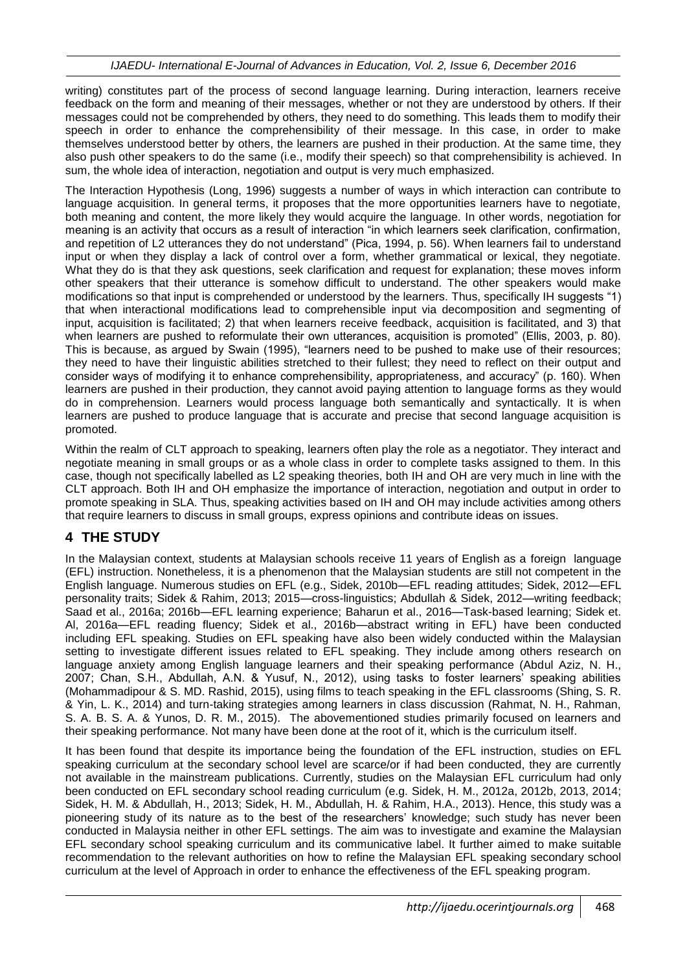writing) constitutes part of the process of second language learning. During interaction, learners receive feedback on the form and meaning of their messages, whether or not they are understood by others. If their messages could not be comprehended by others, they need to do something. This leads them to modify their speech in order to enhance the comprehensibility of their message. In this case, in order to make themselves understood better by others, the learners are pushed in their production. At the same time, they also push other speakers to do the same (i.e., modify their speech) so that comprehensibility is achieved. In sum, the whole idea of interaction, negotiation and output is very much emphasized.

The Interaction Hypothesis (Long, 1996) suggests a number of ways in which interaction can contribute to language acquisition. In general terms, it proposes that the more opportunities learners have to negotiate, both meaning and content, the more likely they would acquire the language. In other words, negotiation for meaning is an activity that occurs as a result of interaction "in which learners seek clarification, confirmation, and repetition of L2 utterances they do not understand" (Pica, 1994, p. 56). When learners fail to understand input or when they display a lack of control over a form, whether grammatical or lexical, they negotiate. What they do is that they ask questions, seek clarification and request for explanation; these moves inform other speakers that their utterance is somehow difficult to understand. The other speakers would make modifications so that input is comprehended or understood by the learners. Thus, specifically IH suggests "1) that when interactional modifications lead to comprehensible input via decomposition and segmenting of input, acquisition is facilitated; 2) that when learners receive feedback, acquisition is facilitated, and 3) that when learners are pushed to reformulate their own utterances, acquisition is promoted" (Ellis, 2003, p. 80). This is because, as argued by Swain (1995), "learners need to be pushed to make use of their resources; they need to have their linguistic abilities stretched to their fullest; they need to reflect on their output and consider ways of modifying it to enhance comprehensibility, appropriateness, and accuracy" (p. 160). When learners are pushed in their production, they cannot avoid paying attention to language forms as they would do in comprehension. Learners would process language both semantically and syntactically. It is when learners are pushed to produce language that is accurate and precise that second language acquisition is promoted.

Within the realm of CLT approach to speaking, learners often play the role as a negotiator. They interact and negotiate meaning in small groups or as a whole class in order to complete tasks assigned to them. In this case, though not specifically labelled as L2 speaking theories, both IH and OH are very much in line with the CLT approach. Both IH and OH emphasize the importance of interaction, negotiation and output in order to promote speaking in SLA. Thus, speaking activities based on IH and OH may include activities among others that require learners to discuss in small groups, express opinions and contribute ideas on issues.

# **4 THE STUDY**

In the Malaysian context, students at Malaysian schools receive 11 years of English as a foreign language (EFL) instruction. Nonetheless, it is a phenomenon that the Malaysian students are still not competent in the English language. Numerous studies on EFL (e.g., Sidek, 2010b—EFL reading attitudes; Sidek, 2012—EFL personality traits; Sidek & Rahim, 2013; 2015—cross-linguistics; Abdullah & Sidek, 2012—writing feedback; Saad et al., 2016a; 2016b—EFL learning experience; Baharun et al., 2016—Task-based learning; Sidek et. Al, 2016a—EFL reading fluency; Sidek et al., 2016b—abstract writing in EFL) have been conducted including EFL speaking. Studies on EFL speaking have also been widely conducted within the Malaysian setting to investigate different issues related to EFL speaking. They include among others research on language anxiety among English language learners and their speaking performance (Abdul Aziz, N. H., 2007; Chan, S.H., Abdullah, A.N. & Yusuf, N., 2012), using tasks to foster learners' speaking abilities (Mohammadipour & S. MD. Rashid, 2015), using films to teach speaking in the EFL classrooms (Shing, S. R. & Yin, L. K., 2014) and turn-taking strategies among learners in class discussion (Rahmat, N. H., Rahman, S. A. B. S. A. & Yunos, D. R. M., 2015). The abovementioned studies primarily focused on learners and their speaking performance. Not many have been done at the root of it, which is the curriculum itself.

It has been found that despite its importance being the foundation of the EFL instruction, studies on EFL speaking curriculum at the secondary school level are scarce/or if had been conducted, they are currently not available in the mainstream publications. Currently, studies on the Malaysian EFL curriculum had only been conducted on EFL secondary school reading curriculum (e.g. Sidek, H. M., 2012a, 2012b, 2013, 2014; Sidek, H. M. & Abdullah, H., 2013; Sidek, H. M., Abdullah, H. & Rahim, H.A., 2013). Hence, this study was a pioneering study of its nature as to the best of the researchers' knowledge; such study has never been conducted in Malaysia neither in other EFL settings. The aim was to investigate and examine the Malaysian EFL secondary school speaking curriculum and its communicative label. It further aimed to make suitable recommendation to the relevant authorities on how to refine the Malaysian EFL speaking secondary school curriculum at the level of Approach in order to enhance the effectiveness of the EFL speaking program.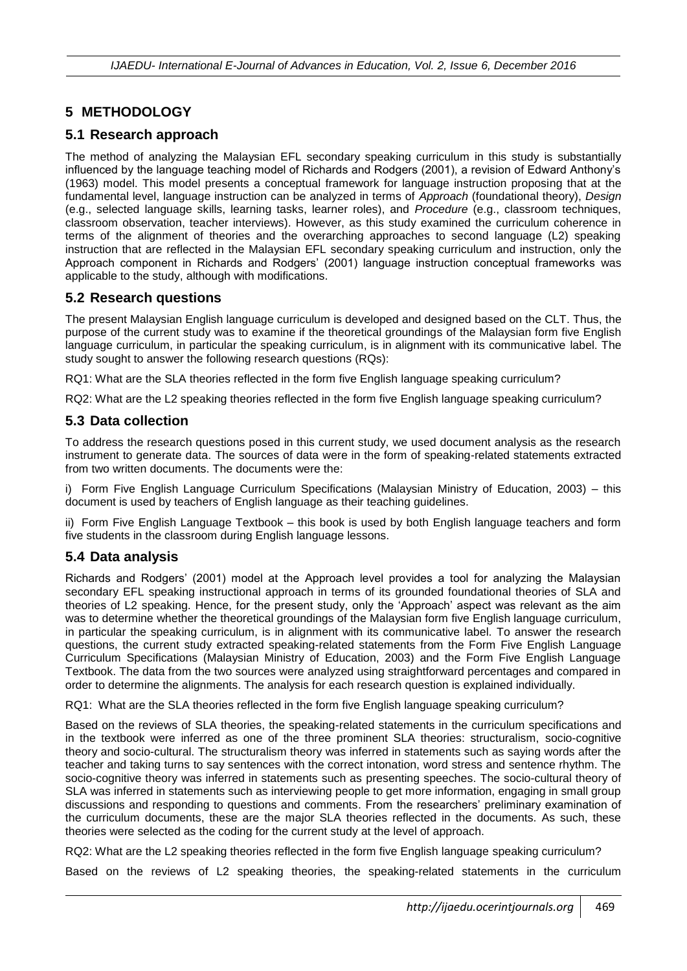# **5 METHODOLOGY**

## **5.1 Research approach**

The method of analyzing the Malaysian EFL secondary speaking curriculum in this study is substantially influenced by the language teaching model of Richards and Rodgers (2001), a revision of Edward Anthony's (1963) model. This model presents a conceptual framework for language instruction proposing that at the fundamental level, language instruction can be analyzed in terms of *Approach* (foundational theory), *Design* (e.g., selected language skills, learning tasks, learner roles), and *Procedure* (e.g., classroom techniques, classroom observation, teacher interviews). However, as this study examined the curriculum coherence in terms of the alignment of theories and the overarching approaches to second language (L2) speaking instruction that are reflected in the Malaysian EFL secondary speaking curriculum and instruction, only the Approach component in Richards and Rodgers' (2001) language instruction conceptual frameworks was applicable to the study, although with modifications.

### **5.2 Research questions**

The present Malaysian English language curriculum is developed and designed based on the CLT. Thus, the purpose of the current study was to examine if the theoretical groundings of the Malaysian form five English language curriculum, in particular the speaking curriculum, is in alignment with its communicative label. The study sought to answer the following research questions (RQs):

RQ1: What are the SLA theories reflected in the form five English language speaking curriculum?

RQ2: What are the L2 speaking theories reflected in the form five English language speaking curriculum?

#### **5.3 Data collection**

To address the research questions posed in this current study, we used document analysis as the research instrument to generate data. The sources of data were in the form of speaking-related statements extracted from two written documents. The documents were the:

i) Form Five English Language Curriculum Specifications (Malaysian Ministry of Education, 2003) – this document is used by teachers of English language as their teaching guidelines.

ii) Form Five English Language Textbook – this book is used by both English language teachers and form five students in the classroom during English language lessons.

### **5.4 Data analysis**

Richards and Rodgers' (2001) model at the Approach level provides a tool for analyzing the Malaysian secondary EFL speaking instructional approach in terms of its grounded foundational theories of SLA and theories of L2 speaking. Hence, for the present study, only the 'Approach' aspect was relevant as the aim was to determine whether the theoretical groundings of the Malaysian form five English language curriculum, in particular the speaking curriculum, is in alignment with its communicative label. To answer the research questions, the current study extracted speaking-related statements from the Form Five English Language Curriculum Specifications (Malaysian Ministry of Education, 2003) and the Form Five English Language Textbook. The data from the two sources were analyzed using straightforward percentages and compared in order to determine the alignments. The analysis for each research question is explained individually.

RQ1: What are the SLA theories reflected in the form five English language speaking curriculum?

Based on the reviews of SLA theories, the speaking-related statements in the curriculum specifications and in the textbook were inferred as one of the three prominent SLA theories: structuralism, socio-cognitive theory and socio-cultural. The structuralism theory was inferred in statements such as saying words after the teacher and taking turns to say sentences with the correct intonation, word stress and sentence rhythm. The socio-cognitive theory was inferred in statements such as presenting speeches. The socio-cultural theory of SLA was inferred in statements such as interviewing people to get more information, engaging in small group discussions and responding to questions and comments. From the researchers' preliminary examination of the curriculum documents, these are the major SLA theories reflected in the documents. As such, these theories were selected as the coding for the current study at the level of approach.

RQ2: What are the L2 speaking theories reflected in the form five English language speaking curriculum?

Based on the reviews of L2 speaking theories, the speaking-related statements in the curriculum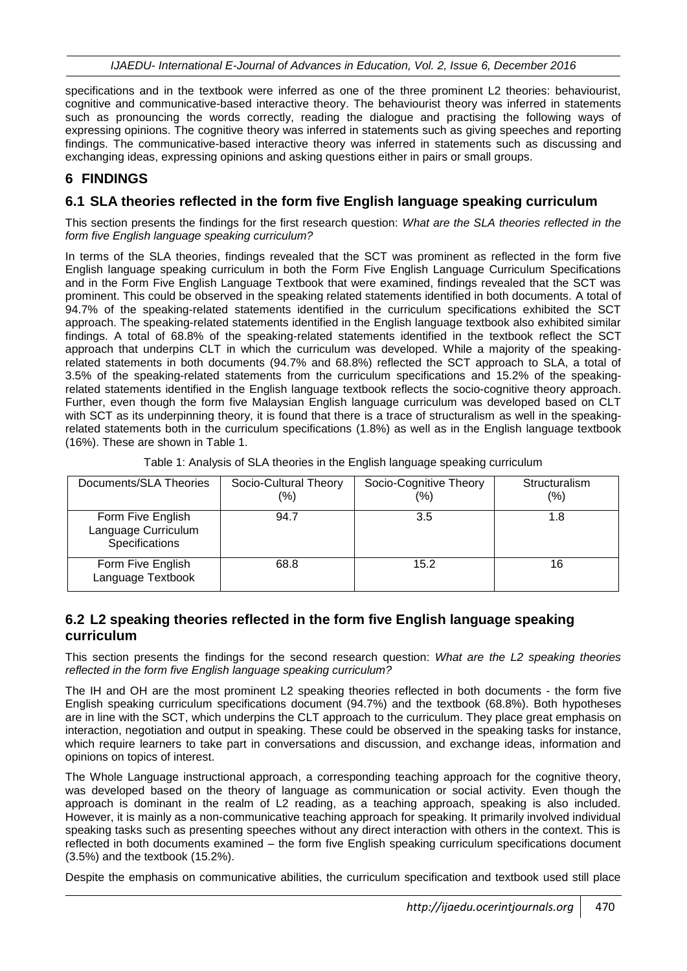specifications and in the textbook were inferred as one of the three prominent L2 theories: behaviourist, cognitive and communicative-based interactive theory. The behaviourist theory was inferred in statements such as pronouncing the words correctly, reading the dialogue and practising the following ways of expressing opinions. The cognitive theory was inferred in statements such as giving speeches and reporting findings. The communicative-based interactive theory was inferred in statements such as discussing and exchanging ideas, expressing opinions and asking questions either in pairs or small groups.

### **6 FINDINGS**

#### **6.1 SLA theories reflected in the form five English language speaking curriculum**

This section presents the findings for the first research question: *What are the SLA theories reflected in the form five English language speaking curriculum?*

In terms of the SLA theories, findings revealed that the SCT was prominent as reflected in the form five English language speaking curriculum in both the Form Five English Language Curriculum Specifications and in the Form Five English Language Textbook that were examined, findings revealed that the SCT was prominent. This could be observed in the speaking related statements identified in both documents. A total of 94.7% of the speaking-related statements identified in the curriculum specifications exhibited the SCT approach. The speaking-related statements identified in the English language textbook also exhibited similar findings. A total of 68.8% of the speaking-related statements identified in the textbook reflect the SCT approach that underpins CLT in which the curriculum was developed. While a majority of the speakingrelated statements in both documents (94.7% and 68.8%) reflected the SCT approach to SLA, a total of 3.5% of the speaking-related statements from the curriculum specifications and 15.2% of the speakingrelated statements identified in the English language textbook reflects the socio-cognitive theory approach. Further, even though the form five Malaysian English language curriculum was developed based on CLT with SCT as its underpinning theory, it is found that there is a trace of structuralism as well in the speakingrelated statements both in the curriculum specifications (1.8%) as well as in the English language textbook (16%). These are shown in Table 1.

| Documents/SLA Theories                                     | Socio-Cultural Theory<br>(%) | Socio-Cognitive Theory<br>(%) | <b>Structuralism</b><br>(%) |
|------------------------------------------------------------|------------------------------|-------------------------------|-----------------------------|
| Form Five English<br>Language Curriculum<br>Specifications | 94.7                         | 3.5                           | 1.8                         |
| Form Five English<br>Language Textbook                     | 68.8                         | 15.2                          | 16                          |

Table 1: Analysis of SLA theories in the English language speaking curriculum

### **6.2 L2 speaking theories reflected in the form five English language speaking curriculum**

This section presents the findings for the second research question: *What are the L2 speaking theories reflected in the form five English language speaking curriculum?*

The IH and OH are the most prominent L2 speaking theories reflected in both documents - the form five English speaking curriculum specifications document (94.7%) and the textbook (68.8%). Both hypotheses are in line with the SCT, which underpins the CLT approach to the curriculum. They place great emphasis on interaction, negotiation and output in speaking. These could be observed in the speaking tasks for instance, which require learners to take part in conversations and discussion, and exchange ideas, information and opinions on topics of interest.

The Whole Language instructional approach, a corresponding teaching approach for the cognitive theory, was developed based on the theory of language as communication or social activity. Even though the approach is dominant in the realm of L2 reading, as a teaching approach, speaking is also included. However, it is mainly as a non-communicative teaching approach for speaking. It primarily involved individual speaking tasks such as presenting speeches without any direct interaction with others in the context. This is reflected in both documents examined – the form five English speaking curriculum specifications document (3.5%) and the textbook (15.2%).

Despite the emphasis on communicative abilities, the curriculum specification and textbook used still place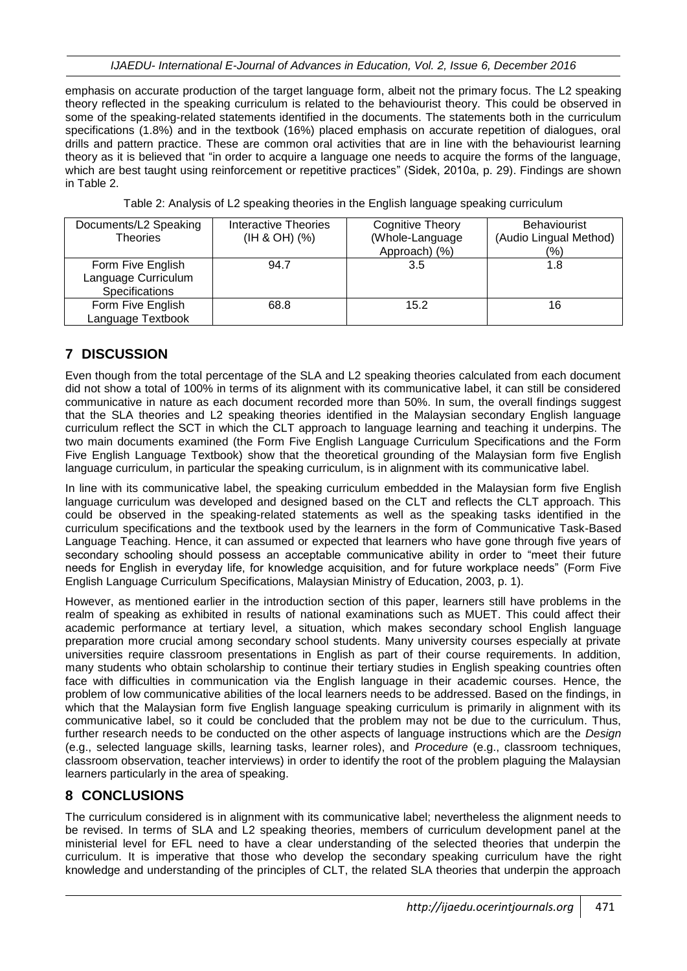emphasis on accurate production of the target language form, albeit not the primary focus. The L2 speaking theory reflected in the speaking curriculum is related to the behaviourist theory. This could be observed in some of the speaking-related statements identified in the documents. The statements both in the curriculum specifications (1.8%) and in the textbook (16%) placed emphasis on accurate repetition of dialogues, oral drills and pattern practice. These are common oral activities that are in line with the behaviourist learning theory as it is believed that "in order to acquire a language one needs to acquire the forms of the language, which are best taught using reinforcement or repetitive practices" (Sidek, 2010a, p. 29). Findings are shown in Table 2.

| Table 2: Analysis of L2 speaking theories in the English language speaking curriculum |  |  |  |
|---------------------------------------------------------------------------------------|--|--|--|
|                                                                                       |  |  |  |
|                                                                                       |  |  |  |
|                                                                                       |  |  |  |

| Documents/L2 Speaking<br><b>Theories</b>                   | Interactive Theories<br>$(H 8 OH)$ $(%)$ | Cognitive Theory<br>(Whole-Language | <b>Behaviourist</b><br>(Audio Lingual Method) |
|------------------------------------------------------------|------------------------------------------|-------------------------------------|-----------------------------------------------|
|                                                            |                                          | Approach) (%)                       | (%)                                           |
| Form Five English<br>Language Curriculum<br>Specifications | 94.7                                     | 3.5                                 | 1.8                                           |
| Form Five English<br>Language Textbook                     | 68.8                                     | 15.2                                | 16                                            |

# **7 DISCUSSION**

Even though from the total percentage of the SLA and L2 speaking theories calculated from each document did not show a total of 100% in terms of its alignment with its communicative label, it can still be considered communicative in nature as each document recorded more than 50%. In sum, the overall findings suggest that the SLA theories and L2 speaking theories identified in the Malaysian secondary English language curriculum reflect the SCT in which the CLT approach to language learning and teaching it underpins. The two main documents examined (the Form Five English Language Curriculum Specifications and the Form Five English Language Textbook) show that the theoretical grounding of the Malaysian form five English language curriculum, in particular the speaking curriculum, is in alignment with its communicative label.

In line with its communicative label, the speaking curriculum embedded in the Malaysian form five English language curriculum was developed and designed based on the CLT and reflects the CLT approach. This could be observed in the speaking-related statements as well as the speaking tasks identified in the curriculum specifications and the textbook used by the learners in the form of Communicative Task-Based Language Teaching. Hence, it can assumed or expected that learners who have gone through five years of secondary schooling should possess an acceptable communicative ability in order to "meet their future needs for English in everyday life, for knowledge acquisition, and for future workplace needs" (Form Five English Language Curriculum Specifications, Malaysian Ministry of Education, 2003, p. 1).

However, as mentioned earlier in the introduction section of this paper, learners still have problems in the realm of speaking as exhibited in results of national examinations such as MUET. This could affect their academic performance at tertiary level, a situation, which makes secondary school English language preparation more crucial among secondary school students. Many university courses especially at private universities require classroom presentations in English as part of their course requirements. In addition, many students who obtain scholarship to continue their tertiary studies in English speaking countries often face with difficulties in communication via the English language in their academic courses. Hence, the problem of low communicative abilities of the local learners needs to be addressed. Based on the findings, in which that the Malaysian form five English language speaking curriculum is primarily in alignment with its communicative label, so it could be concluded that the problem may not be due to the curriculum. Thus, further research needs to be conducted on the other aspects of language instructions which are the *Design* (e.g., selected language skills, learning tasks, learner roles), and *Procedure* (e.g., classroom techniques, classroom observation, teacher interviews) in order to identify the root of the problem plaguing the Malaysian learners particularly in the area of speaking.

# **8 CONCLUSIONS**

The curriculum considered is in alignment with its communicative label; nevertheless the alignment needs to be revised. In terms of SLA and L2 speaking theories, members of curriculum development panel at the ministerial level for EFL need to have a clear understanding of the selected theories that underpin the curriculum. It is imperative that those who develop the secondary speaking curriculum have the right knowledge and understanding of the principles of CLT, the related SLA theories that underpin the approach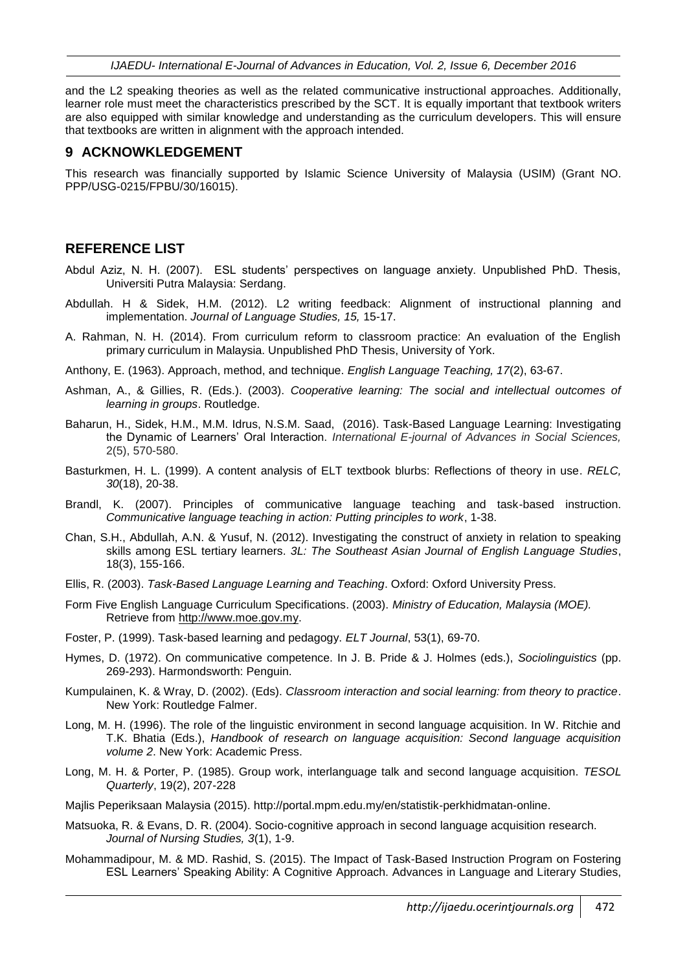*IJAEDU- International E-Journal of Advances in Education, Vol. 2, Issue 6, December 2016*

and the L2 speaking theories as well as the related communicative instructional approaches. Additionally, learner role must meet the characteristics prescribed by the SCT. It is equally important that textbook writers are also equipped with similar knowledge and understanding as the curriculum developers. This will ensure that textbooks are written in alignment with the approach intended.

#### **9 ACKNOWKLEDGEMENT**

This research was financially supported by Islamic Science University of Malaysia (USIM) (Grant NO. PPP/USG-0215/FPBU/30/16015).

#### **REFERENCE LIST**

- Abdul Aziz, N. H. (2007). ESL students' perspectives on language anxiety. Unpublished PhD. Thesis, Universiti Putra Malaysia: Serdang.
- Abdullah. H & Sidek, H.M. (2012). L2 writing feedback: Alignment of instructional planning and implementation. *Journal of Language Studies, 15,* 15-17.
- A. Rahman, N. H. (2014). From curriculum reform to classroom practice: An evaluation of the English primary curriculum in Malaysia. Unpublished PhD Thesis, University of York.
- Anthony, E. (1963). Approach, method, and technique. *English Language Teaching, 17*(2), 63-67.
- Ashman, A., & Gillies, R. (Eds.). (2003). *Cooperative learning: The social and intellectual outcomes of learning in groups*. Routledge.
- Baharun, H., Sidek, H.M., M.M. Idrus, N.S.M. Saad, (2016). Task-Based Language Learning: Investigating the Dynamic of Learners' Oral Interaction. *International E-journal of Advances in Social Sciences,* 2(5), 570-580.
- Basturkmen, H. L. (1999). A content analysis of ELT textbook blurbs: Reflections of theory in use. *RELC, 30*(18), 20-38.
- Brandl, K. (2007). Principles of communicative language teaching and task-based instruction. *Communicative language teaching in action: Putting principles to work*, 1-38.
- Chan, S.H., Abdullah, A.N. & Yusuf, N. (2012). Investigating the construct of anxiety in relation to speaking skills among ESL tertiary learners. *3L: The Southeast Asian Journal of English Language Studies*, 18(3), 155-166.
- Ellis, R. (2003). *Task-Based Language Learning and Teaching*. Oxford: Oxford University Press.
- Form Five English Language Curriculum Specifications. (2003). *Ministry of Education, Malaysia (MOE).*  Retrieve from [http://www.moe.gov.my.](http://www.moe.gov.my/)
- Foster, P. (1999). Task-based learning and pedagogy. *ELT Journal*, 53(1), 69-70.
- Hymes, D. (1972). On communicative competence. In J. B. Pride & J. Holmes (eds.), *Sociolinguistics* (pp. 269-293). Harmondsworth: Penguin.
- Kumpulainen, K. & Wray, D. (2002). (Eds). *Classroom interaction and social learning: from theory to practice*. New York: Routledge Falmer.
- Long, M. H. (1996). The role of the linguistic environment in second language acquisition. In W. Ritchie and T.K. Bhatia (Eds.), *Handbook of research on language acquisition: Second language acquisition volume 2*. New York: Academic Press.
- Long, M. H. & Porter, P. (1985). Group work, interlanguage talk and second language acquisition. *TESOL Quarterly*, 19(2), 207-228
- Majlis Peperiksaan Malaysia (2015). http://portal.mpm.edu.my/en/statistik-perkhidmatan-online.
- Matsuoka, R. & Evans, D. R. (2004). Socio-cognitive approach in second language acquisition research. *Journal of Nursing Studies, 3*(1), 1-9.
- Mohammadipour, M. & MD. Rashid, S. (2015). The Impact of Task-Based Instruction Program on Fostering ESL Learners' Speaking Ability: A Cognitive Approach. Advances in Language and Literary Studies,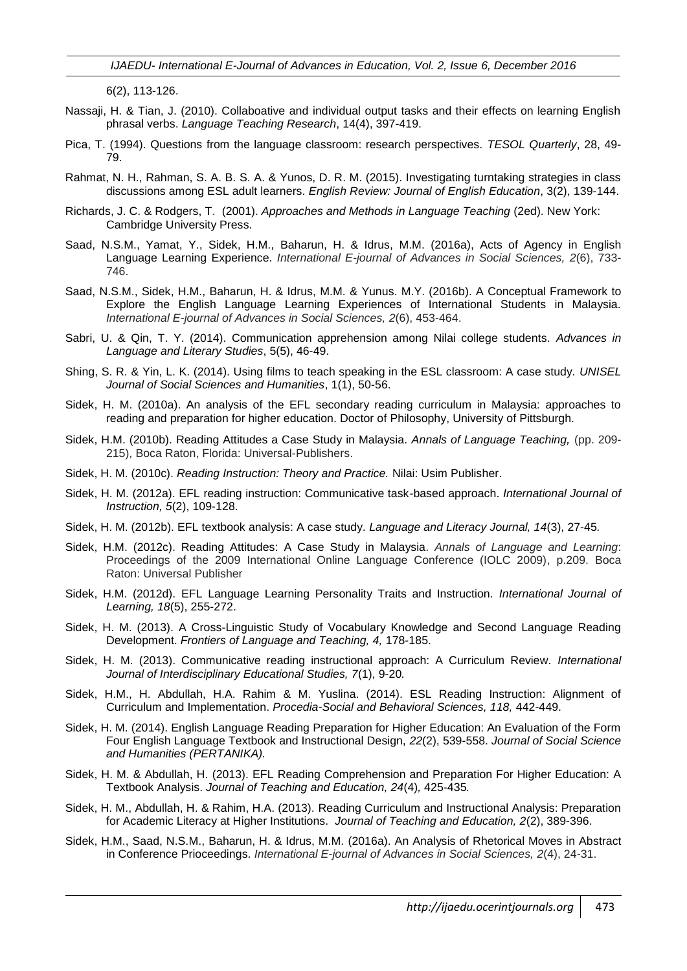*IJAEDU- International E-Journal of Advances in Education, Vol. 2, Issue 6, December 2016*

6(2), 113-126.

- Nassaji, H. & Tian, J. (2010). Collaboative and individual output tasks and their effects on learning English phrasal verbs. *Language Teaching Research*, 14(4), 397-419.
- Pica, T. (1994). Questions from the language classroom: research perspectives. *TESOL Quarterly*, 28, 49- 79.
- Rahmat, N. H., Rahman, S. A. B. S. A. & Yunos, D. R. M. (2015). Investigating turntaking strategies in class discussions among ESL adult learners. *English Review: Journal of English Education*, 3(2), 139-144.
- Richards, J. C. & Rodgers, T.(2001). *Approaches and Methods in Language Teaching* (2ed). New York: Cambridge University Press.
- Saad, N.S.M., Yamat, Y., Sidek, H.M., Baharun, H. & Idrus, M.M. (2016a), Acts of Agency in English Language Learning Experience. *International E-journal of Advances in Social Sciences, 2*(6), 733- 746.
- Saad, N.S.M., Sidek, H.M., Baharun, H. & Idrus, M.M. & Yunus. M.Y. (2016b). A Conceptual Framework to Explore the English Language Learning Experiences of International Students in Malaysia. *International E-journal of Advances in Social Sciences, 2*(6), 453-464.
- Sabri, U. & Qin, T. Y. (2014). Communication apprehension among Nilai college students. *Advances in Language and Literary Studies*, 5(5), 46-49.
- Shing, S. R. & Yin, L. K. (2014). Using films to teach speaking in the ESL classroom: A case study. *UNISEL Journal of Social Sciences and Humanities*, 1(1), 50-56.
- Sidek, H. M. (2010a). An analysis of the EFL secondary reading curriculum in Malaysia: approaches to reading and preparation for higher education. Doctor of Philosophy, University of Pittsburgh.
- Sidek, H.M. (2010b). Reading Attitudes a Case Study in Malaysia. *Annals of Language Teaching,* (pp. 209- 215), Boca Raton, Florida: Universal-Publishers.
- Sidek, H. M. (2010c). *Reading Instruction: Theory and Practice.* Nilai: Usim Publisher.
- Sidek, H. M. (2012a). EFL reading instruction: Communicative task-based approach. *International Journal of Instruction, 5*(2), 109-128.
- Sidek, H. M. (2012b). EFL textbook analysis: A case study. *Language and Literacy Journal, 14*(3), 27-45*.*
- Sidek, H.M. (2012c). Reading Attitudes: A Case Study in Malaysia. *Annals of Language and Learning*: Proceedings of the 2009 International Online Language Conference (IOLC 2009), p.209. Boca Raton: Universal Publisher
- Sidek, H.M. (2012d). EFL Language Learning Personality Traits and Instruction. *International Journal of Learning, 18*(5), 255-272.
- Sidek, H. M. (2013). A Cross-Linguistic Study of Vocabulary Knowledge and Second Language Reading Development. *Frontiers of Language and Teaching, 4,* 178-185.
- Sidek, H. M. (2013). Communicative reading instructional approach: A Curriculum Review. *International Journal of Interdisciplinary Educational Studies, 7*(1), 9-20*.*
- Sidek, H.M., H. Abdullah, H.A. Rahim & M. Yuslina. (2014). ESL Reading Instruction: Alignment of Curriculum and Implementation. *Procedia-Social and Behavioral Sciences, 118,* 442-449.
- Sidek, H. M. (2014). English Language Reading Preparation for Higher Education: An Evaluation of the Form Four English Language Textbook and Instructional Design, *22*(2), 539-558. *Journal of Social Science and Humanities (PERTANIKA).*
- Sidek, H. M. & Abdullah, H. (2013). EFL Reading Comprehension and Preparation For Higher Education: A Textbook Analysis. *Journal of Teaching and Education, 24*(4)*,* 425-435*.*
- Sidek, H. M., Abdullah, H. & Rahim, H.A. (2013). Reading Curriculum and Instructional Analysis: Preparation for Academic Literacy at Higher Institutions. *Journal of Teaching and Education, 2*(2), 389-396.
- Sidek, H.M., Saad, N.S.M., Baharun, H. & Idrus, M.M. (2016a). An Analysis of Rhetorical Moves in Abstract in Conference Prioceedings. *International E-journal of Advances in Social Sciences, 2*(4), 24-31.